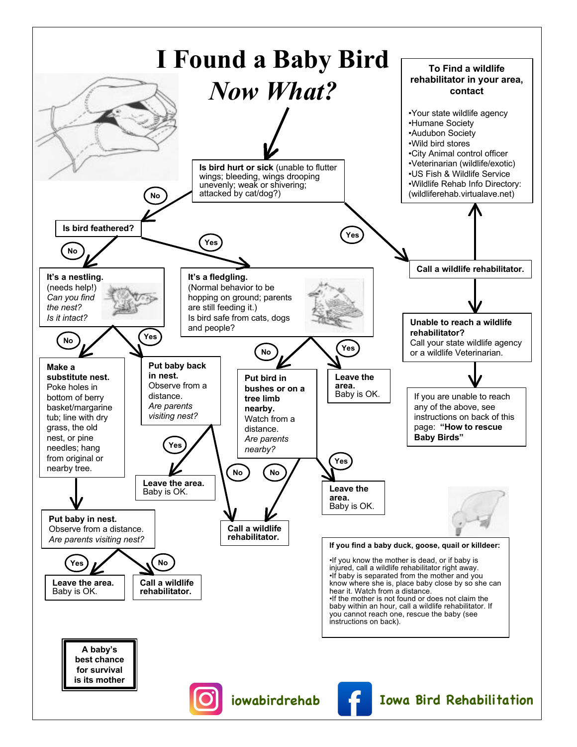